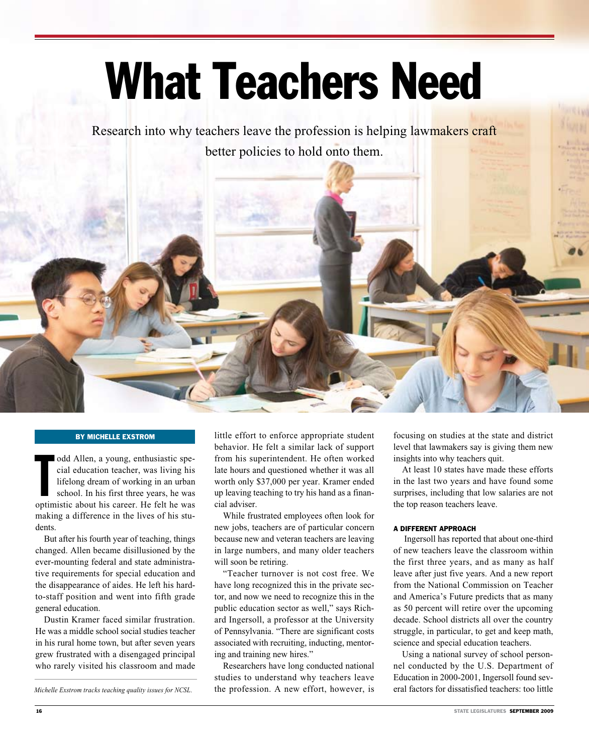# What Teachers Need

Research into why teachers leave the profession is helping lawmakers craft better policies to hold onto them.

#### By Michelle Exstrom

odd Allen, a young, enthusiastic special education teacher, was living his lifelong dream of working in an urban school. In his first three years, he was optimistic about his career. He felt he was odd Allen, a young, enthusiastic special education teacher, was living his lifelong dream of working in an urban school. In his first three years, he was making a difference in the lives of his students.

But after his fourth year of teaching, things changed. Allen became disillusioned by the ever-mounting federal and state administrative requirements for special education and the disappearance of aides. He left his hardto-staff position and went into fifth grade general education.

Dustin Kramer faced similar frustration. He was a middle school social studies teacher in his rural home town, but after seven years grew frustrated with a disengaged principal who rarely visited his classroom and made

*Michelle Exstrom tracks teaching quality issues for NCSL.*

little effort to enforce appropriate student behavior. He felt a similar lack of support from his superintendent. He often worked late hours and questioned whether it was all worth only \$37,000 per year. Kramer ended up leaving teaching to try his hand as a financial adviser.

While frustrated employees often look for new jobs, teachers are of particular concern because new and veteran teachers are leaving in large numbers, and many older teachers will soon be retiring.

"Teacher turnover is not cost free. We have long recognized this in the private sector, and now we need to recognize this in the public education sector as well," says Richard Ingersoll, a professor at the University of Pennsylvania. "There are significant costs associated with recruiting, inducting, mentoring and training new hires."

Researchers have long conducted national studies to understand why teachers leave the profession. A new effort, however, is focusing on studies at the state and district level that lawmakers say is giving them new insights into why teachers quit.

At least 10 states have made these efforts in the last two years and have found some surprises, including that low salaries are not the top reason teachers leave.

#### A DIFFERENT APPROACH

 Ingersoll has reported that about one-third of new teachers leave the classroom within the first three years, and as many as half leave after just five years. And a new report from the National Commission on Teacher and America's Future predicts that as many as 50 percent will retire over the upcoming decade. School districts all over the country struggle, in particular, to get and keep math, science and special education teachers.

Using a national survey of school personnel conducted by the U.S. Department of Education in 2000-2001, Ingersoll found several factors for dissatisfied teachers: too little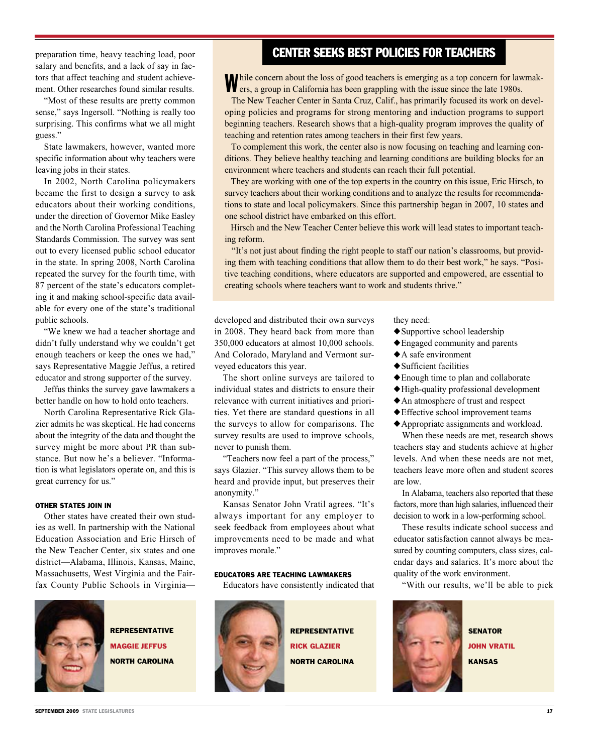preparation time, heavy teaching load, poor salary and benefits, and a lack of say in factors that affect teaching and student achievement. Other researches found similar results.

"Most of these results are pretty common sense," says Ingersoll. "Nothing is really too surprising. This confirms what we all might guess."

State lawmakers, however, wanted more specific information about why teachers were leaving jobs in their states.

In 2002, North Carolina policymakers became the first to design a survey to ask educators about their working conditions, under the direction of Governor Mike Easley and the North Carolina Professional Teaching Standards Commission. The survey was sent out to every licensed public school educator in the state. In spring 2008, North Carolina repeated the survey for the fourth time, with 87 percent of the state's educators completing it and making school-specific data available for every one of the state's traditional public schools.

"We knew we had a teacher shortage and didn't fully understand why we couldn't get enough teachers or keep the ones we had," says Representative Maggie Jeffus, a retired educator and strong supporter of the survey.

Jeffus thinks the survey gave lawmakers a better handle on how to hold onto teachers.

North Carolina Representative Rick Glazier admits he was skeptical. He had concerns about the integrity of the data and thought the survey might be more about PR than substance. But now he's a believer. "Information is what legislators operate on, and this is great currency for us."

#### OTHER STATES JOIN IN

Other states have created their own studies as well. In partnership with the National Education Association and Eric Hirsch of the New Teacher Center, six states and one district—Alabama, Illinois, Kansas, Maine, Massachusetts, West Virginia and the Fairfax County Public Schools in Virginia—

**REPRESENTATIVE** Maggie Jeffus North Carolina

# CENTER SEEKS BEST POLICIES FOR TEACHERS

While concern about the loss of good teachers is emerging as a top concern for lawmak-ers, a group in California has been grappling with the issue since the late 1980s.

 The New Teacher Center in Santa Cruz, Calif., has primarily focused its work on developing policies and programs for strong mentoring and induction programs to support beginning teachers. Research shows that a high-quality program improves the quality of teaching and retention rates among teachers in their first few years.

 To complement this work, the center also is now focusing on teaching and learning conditions. They believe healthy teaching and learning conditions are building blocks for an environment where teachers and students can reach their full potential.

 They are working with one of the top experts in the country on this issue, Eric Hirsch, to survey teachers about their working conditions and to analyze the results for recommendations to state and local policymakers. Since this partnership began in 2007, 10 states and one school district have embarked on this effort.

 Hirsch and the New Teacher Center believe this work will lead states to important teaching reform.

 "It's not just about finding the right people to staff our nation's classrooms, but providing them with teaching conditions that allow them to do their best work," he says. "Positive teaching conditions, where educators are supported and empowered, are essential to creating schools where teachers want to work and students thrive."

developed and distributed their own surveys in 2008. They heard back from more than 350,000 educators at almost 10,000 schools. And Colorado, Maryland and Vermont surveyed educators this year.

The short online surveys are tailored to individual states and districts to ensure their relevance with current initiatives and priorities. Yet there are standard questions in all the surveys to allow for comparisons. The survey results are used to improve schools, never to punish them.

"Teachers now feel a part of the process," says Glazier. "This survey allows them to be heard and provide input, but preserves their anonymity."

Kansas Senator John Vratil agrees. "It's always important for any employer to seek feedback from employees about what improvements need to be made and what improves morale."

#### EDUCATORS ARE TEACHING LAWMAKERS

Educators have consistently indicated that



**REPRESENTATIVE** Rick Glazier North Carolina

they need:

- $\triangle$  Supportive school leadership
- $\triangle$  Engaged community and parents
- $\triangle$  A safe environment
- $\blacklozenge$  Sufficient facilities
- $\triangle$  Enough time to plan and collaborate
- $\blacklozenge$  High-quality professional development
- $\triangle$  An atmosphere of trust and respect
- $\blacklozenge$  Effective school improvement teams
- $\triangle$  Appropriate assignments and workload.

When these needs are met, research shows teachers stay and students achieve at higher levels. And when these needs are not met, teachers leave more often and student scores are low.

In Alabama, teachers also reported that these factors, more than high salaries, influenced their decision to work in a low-performing school.

These results indicate school success and educator satisfaction cannot always be measured by counting computers, class sizes, calendar days and salaries. It's more about the quality of the work environment.

"With our results, we'll be able to pick



**SENATOR JOHN VRATIL** Kansas